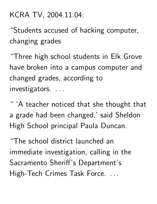KCRA TV, 2004.11.04:

"Students accused of hacking computer, changing grades

"Three high school students in Elk Grove have broken into a campus computer and changed grades, according to investigators. .. and the contract of the contract of the

" 'A teacher noticed that she thought that a grade had been changed,' said Sheldon High School principal Paula Duncan.

"The school district launched an immediate investigation, calling in the Sacramento Sheriff's Department's High-Tech Crimes Task Force. ..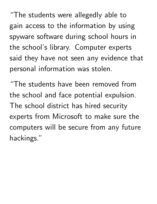"The students were allegedly able to gain access to the information by using spyware software during school hours in the school's library. Computer experts said they have not seen any evidence that personal information was stolen.

"The students have been removed from the school and face potential expulsion. The school district has hired security experts from Microsoft to make sure the computers will be secure from any future hackings."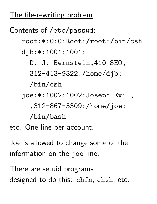#### The file-rewriting problem

Contents of /etc/passwd: root:\*:0:0:Root:/root:/bin/csh djb:\*:1001:1001: D. J. Bernstein,410 SEO, 312-413-9322:/home/djb: /bin/csh joe:\*:1002:1002:Joseph Evil, ,312-867-5309:/home/joe: /bin/bash etc. One line per account.

Joe is allowed to change some of the information on the joe line.

There are setuid programs designed to do this: chfn, chsh, etc.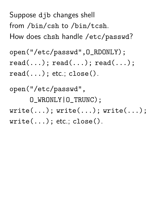Suppose djb changes shell from /bin/csh to /bin/tcsh. How does chsh handle /etc/passwd?

open("/etc/passwd",O\_RDONLY); read(...); read(...); read(...);  $read(...); etc.; close()$ .

open("/etc/passwd", O\_WRONLY|O\_TRUNC);  $write(...); write(...);$  $write(...); etc.; close()$ .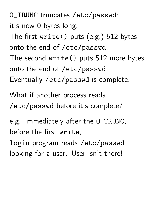O\_TRUNC truncates /etc/passwd: it's now 0 bytes long.

The first write() puts (e.g.) 512 bytes onto the end of /etc/passwd.

The second write() puts 512 more bytes onto the end of /etc/passwd.

Eventually /etc/passwd is complete.

What if another process reads /etc/passwd before it's complete?

e.g. Immediately after the O\_TRUNC, before the first write,

login program reads /etc/passwd looking for a user. User isn't there!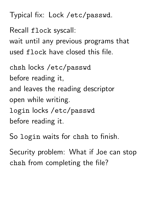Typical fix: Lock /etc/passwd.

Recall flock syscall:

wait until any previous programs that used flock have closed this file.

chsh locks /etc/passwd before reading it, and leaves the reading descriptor open while writing. login locks /etc/passwd before reading it.

So login waits for chsh to finish.

Security problem: What if Joe can stop chsh from completing the file?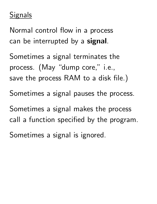# **Signals**

Normal control flow in a process can be interrupted by a signal.

Sometimes a signal terminates the process. (May "dump core," i.e., save the process RAM to a disk file.) Sometimes a signal pauses the process. Sometimes a signal makes the process call a function specified by the program.

Sometimes a signal is ignored.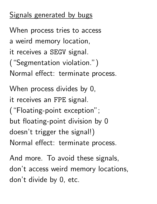# Signals generated by bugs

When process tries to access a weird memory location, it receives a SEGV signal. ("Segmentation violation.") Normal effect: terminate process. When process divides by 0, it receives an FPE signal. ("Floating-point exception"; but floating-point division by 0 doesn't trigger the signal!) Normal effect: terminate process.

And more. To avoid these signals, don't access weird memory locations, don't divide by 0, etc.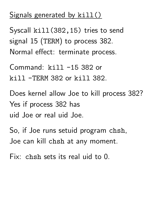#### Signals generated by kill()

Syscall kill(382,15) tries to send signal 15 (TERM) to process 382. Normal effect: terminate process.

Command: kill -15 382 or kill -TERM 382 or kill 382.

Does kernel allow Joe to kill process 382? Yes if process 382 has uid Joe or real uid Joe.

So, if Joe runs setuid program chsh, Joe can kill chsh at any moment.

Fix: chsh sets its real uid to 0.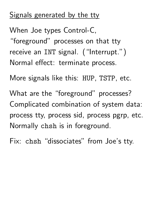## Signals generated by the tty

When Joe types Control-C, "foreground" processes on that tty receive an INT signal. ("Interrupt.") Normal effect: terminate process.

More signals like this: HUP, TSTP, etc.

What are the "foreground" processes? Complicated combination of system data: process tty, process sid, process pgrp, etc. Normally chsh is in foreground.

Fix: chsh "dissociates" from Joe's tty.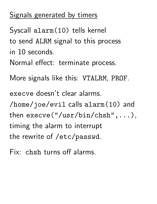# Signals generated by timers

Syscall alarm(10) tells kernel to send ALRM signal to this process in 10 seconds.

Normal effect: terminate process.

More signals like this: VTALRM, PROF.

execve doesn't clear alarms. /home/joe/evil calls alarm(10) and then execve("/usr/bin/chsh",...), timing the alarm to interrupt the rewrite of /etc/passwd.

Fix: chsh turns off alarms.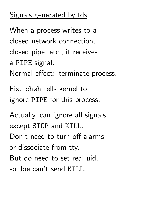## Signals generated by fds

When a process writes to a closed network connection, closed pipe, etc., it receives a PIPE signal. Normal effect: terminate process. Fix: chsh tells kernel to ignore PIPE for this process. Actually, can ignore all signals except STOP and KILL. Don't need to turn off alarms or dissociate from tty. But do need to set real uid, so Joe can't send KILL.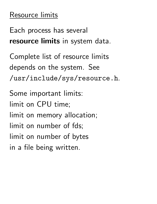#### Resource limits

Each process has several resource limits in system data.

Complete list of resource limits depends on the system. See /usr/include/sys/resource.h.

Some important limits: limit on CPU time; limit on memory allocation; limit on number of fds; limit on number of bytes in a file being written.